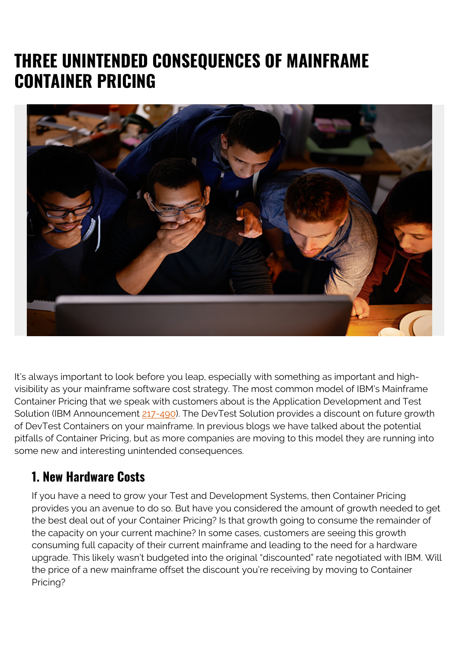## **THREE UNINTENDED CONSEQUENCES OF MAINFRAME CONTAINER PRICING**



It's always important to look before you leap, especially with something as important and highvisibility as your mainframe software cost strategy. The most common model of IBM's Mainframe Container Pricing that we speak with customers about is the Application Development and Test Solution (IBM Announcement [217-490](https://www-01.ibm.com/common/ssi/cgi-bin/ssialias?subtype=ca&infotype=an&supplier=897&letternum=ENUS217-490)). The DevTest Solution provides a discount on future growth of DevTest Containers on your mainframe. In previous blogs we have talked about the potential pitfalls of Container Pricing, but as more companies are moving to this model they are running into some new and interesting unintended consequences.

## **1. New Hardware Costs**

If you have a need to grow your Test and Development Systems, then Container Pricing provides you an avenue to do so. But have you considered the amount of growth needed to get the best deal out of your Container Pricing? Is that growth going to consume the remainder of the capacity on your current machine? In some cases, customers are seeing this growth consuming full capacity of their current mainframe and leading to the need for a hardware upgrade. This likely wasn't budgeted into the original "discounted" rate negotiated with IBM. Will the price of a new mainframe offset the discount you're receiving by moving to Container Pricing?